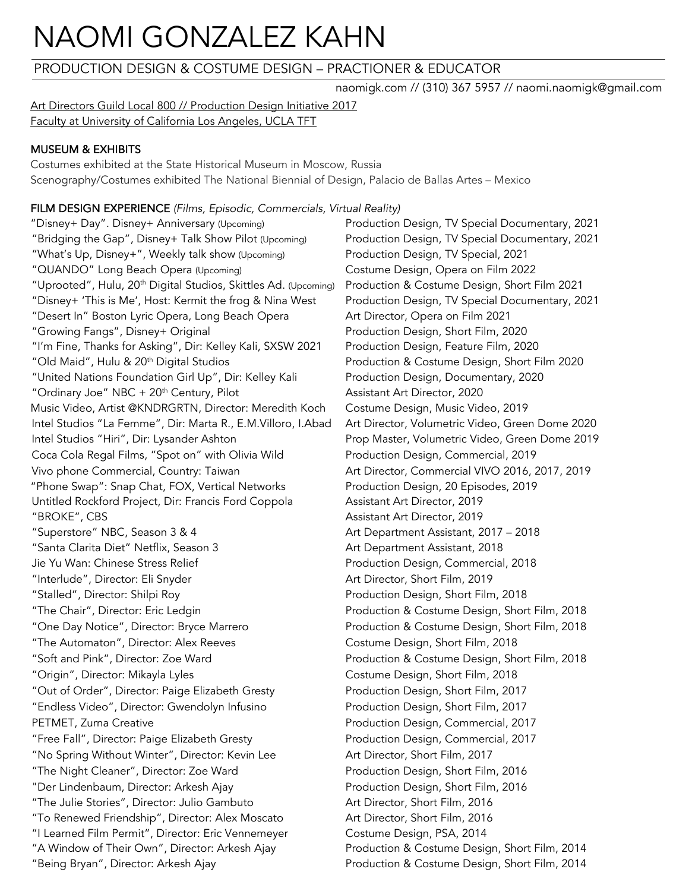# NAOMI GONZALEZ KAHN

## PRODUCTION DESIGN & COSTUME DESIGN – PRACTIONER & EDUCATOR

naomigk.com // (310) 367 5957 // naomi.naomigk@gmail.com

Art Directors Guild Local 800 // Production Design Initiative 2017 Faculty at University of California Los Angeles, UCLA TFT

## MUSEUM & EXHIBITS

Costumes exhibited at the State Historical Museum in Moscow, Russia Scenography/Costumes exhibited The National Biennial of Design, Palacio de Ballas Artes – Mexico

## FILM DESIGN EXPERIENCE *(Films, Episodic, Commercials, Virtual Reality)*

"Disney+ Day". Disney+ Anniversary (Upcoming) Production Design, TV Special Documentary, 2021 "Bridging the Gap", Disney+ Talk Show Pilot (Upcoming) Production Design, TV Special Documentary, 2021 "What's Up, Disney+", Weekly talk show (Upcoming) Production Design, TV Special, 2021 "QUANDO" Long Beach Opera (Upcoming) Costume Design, Opera on Film 2022 "Uprooted", Hulu, 20th Digital Studios, Skittles Ad. (Upcoming) Production & Costume Design, Short Film 2021 "Disney+ 'This is Me', Host: Kermit the frog & Nina West Production Design, TV Special Documentary, 2021 "Desert In" Boston Lyric Opera, Long Beach Opera Art Director, Opera on Film 2021 "Growing Fangs", Disney+ Original Production Design, Short Film, 2020 "I'm Fine, Thanks for Asking", Dir: Kelley Kali, SXSW 2021 Production Design, Feature Film, 2020 "Old Maid", Hulu & 20th Digital Studios Production & Costume Design, Short Film 2020 "United Nations Foundation Girl Up", Dir: Kelley Kali Production Design, Documentary, 2020 "Ordinary Joe" NBC + 20<sup>th</sup> Century, Pilot Assistant Art Director, 2020 Music Video, Artist @KNDRGRTN, Director: Meredith Koch Costume Design, Music Video, 2019 Intel Studios "La Femme", Dir: Marta R., E.M.Villoro, I.Abad Art Director, Volumetric Video, Green Dome 2020 Intel Studios "Hiri", Dir: Lysander Ashton Prop Master, Volumetric Video, Green Dome 2019 Coca Cola Regal Films, "Spot on" with Olivia Wild Production Design, Commercial, 2019 Vivo phone Commercial, Country: Taiwan Art Director, Commercial VIVO 2016, 2017, 2019 "Phone Swap": Snap Chat, FOX, Vertical Networks Production Design, 20 Episodes, 2019 Untitled Rockford Project, Dir: Francis Ford Coppola Assistant Art Director, 2019 "BROKE", CBS Assistant Art Director, 2019 "Superstore" NBC, Season 3 & 4 Art Department Assistant, 2017 - 2018 "Santa Clarita Diet" Netflix, Season 3 Art Department Assistant, 2018 Jie Yu Wan: Chinese Stress Relief Production Design, Commercial, 2018 "Interlude", Director: Eli Snyder Art Director, Short Film, 2019 "Stalled", Director: Shilpi Roy Production Design, Short Film, 2018 "The Chair", Director: Eric Ledgin Production & Costume Design, Short Film, 2018 "One Day Notice", Director: Bryce Marrero Production & Costume Design, Short Film, 2018 "The Automaton", Director: Alex Reeves Costume Design, Short Film, 2018 "Soft and Pink", Director: Zoe Ward Production & Costume Design, Short Film, 2018 "Origin", Director: Mikayla Lyles Costume Design, Short Film, 2018 "Out of Order", Director: Paige Elizabeth Gresty Production Design, Short Film, 2017 "Endless Video", Director: Gwendolyn Infusino Production Design, Short Film, 2017 PETMET, Zurna Creative **Production Design, Commercial, 2017** "Free Fall", Director: Paige Elizabeth Gresty Production Design, Commercial, 2017 "No Spring Without Winter", Director: Kevin Lee Art Director, Short Film, 2017 "The Night Cleaner", Director: Zoe Ward Production Design, Short Film, 2016 "Der Lindenbaum, Director: Arkesh Ajay Production Design, Short Film, 2016 "The Julie Stories", Director: Julio Gambuto Art Director, Short Film, 2016 "To Renewed Friendship", Director: Alex Moscato Art Director, Short Film, 2016 "I Learned Film Permit", Director: Eric Vennemeyer Costume Design, PSA, 2014 "A Window of Their Own", Director: Arkesh Ajay Production & Costume Design, Short Film, 2014 "Being Bryan", Director: Arkesh Ajay Production & Costume Design, Short Film, 2014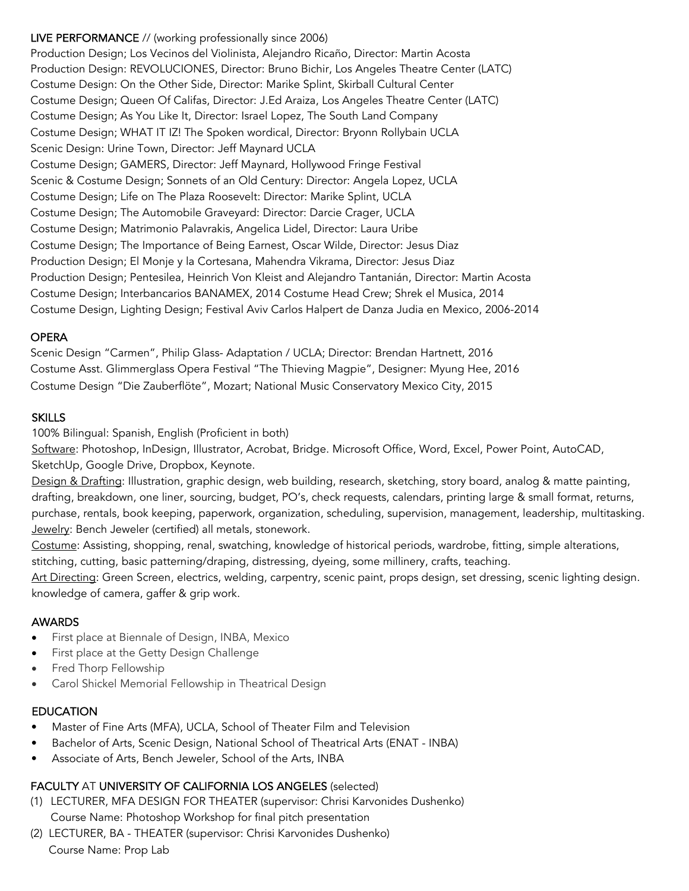#### LIVE PERFORMANCE // (working professionally since 2006)

Production Design; Los Vecinos del Violinista, Alejandro Ricaño, Director: Martin Acosta Production Design: REVOLUCIONES, Director: Bruno Bichir, Los Angeles Theatre Center (LATC) Costume Design: On the Other Side, Director: Marike Splint, Skirball Cultural Center Costume Design; Queen Of Califas, Director: J.Ed Araiza, Los Angeles Theatre Center (LATC) Costume Design; As You Like It, Director: Israel Lopez, The South Land Company Costume Design; WHAT IT IZ! The Spoken wordical, Director: Bryonn Rollybain UCLA Scenic Design: Urine Town, Director: Jeff Maynard UCLA Costume Design; GAMERS, Director: Jeff Maynard, Hollywood Fringe Festival Scenic & Costume Design; Sonnets of an Old Century: Director: Angela Lopez, UCLA Costume Design; Life on The Plaza Roosevelt: Director: Marike Splint, UCLA Costume Design; The Automobile Graveyard: Director: Darcie Crager, UCLA Costume Design; Matrimonio Palavrakis, Angelica Lidel, Director: Laura Uribe Costume Design; The Importance of Being Earnest, Oscar Wilde, Director: Jesus Diaz Production Design; El Monje y la Cortesana, Mahendra Vikrama, Director: Jesus Diaz Production Design; Pentesilea, Heinrich Von Kleist and Alejandro Tantanián, Director: Martin Acosta Costume Design; Interbancarios BANAMEX, 2014 Costume Head Crew; Shrek el Musica, 2014 Costume Design, Lighting Design; Festival Aviv Carlos Halpert de Danza Judia en Mexico, 2006-2014

#### OPERA

Scenic Design "Carmen", Philip Glass- Adaptation / UCLA; Director: Brendan Hartnett, 2016 Costume Asst. Glimmerglass Opera Festival "The Thieving Magpie", Designer: Myung Hee, 2016 Costume Design "Die Zauberflöte", Mozart; National Music Conservatory Mexico City, 2015

#### **SKILLS**

100% Bilingual: Spanish, English (Proficient in both)

Software: Photoshop, InDesign, Illustrator, Acrobat, Bridge. Microsoft Office, Word, Excel, Power Point, AutoCAD, SketchUp, Google Drive, Dropbox, Keynote.

Design & Drafting: Illustration, graphic design, web building, research, sketching, story board, analog & matte painting, drafting, breakdown, one liner, sourcing, budget, PO's, check requests, calendars, printing large & small format, returns, purchase, rentals, book keeping, paperwork, organization, scheduling, supervision, management, leadership, multitasking. Jewelry: Bench Jeweler (certified) all metals, stonework.

Costume: Assisting, shopping, renal, swatching, knowledge of historical periods, wardrobe, fitting, simple alterations, stitching, cutting, basic patterning/draping, distressing, dyeing, some millinery, crafts, teaching.

Art Directing: Green Screen, electrics, welding, carpentry, scenic paint, props design, set dressing, scenic lighting design. knowledge of camera, gaffer & grip work.

#### AWARDS

- First place at Biennale of Design, INBA, Mexico
- First place at the Getty Design Challenge
- Fred Thorp Fellowship
- Carol Shickel Memorial Fellowship in Theatrical Design

#### EDUCATION

- Master of Fine Arts (MFA), UCLA, School of Theater Film and Television
- Bachelor of Arts, Scenic Design, National School of Theatrical Arts (ENAT INBA)
- Associate of Arts, Bench Jeweler, School of the Arts, INBA

#### FACULTY AT UNIVERSITY OF CALIFORNIA LOS ANGELES (selected)

- (1) LECTURER, MFA DESIGN FOR THEATER (supervisor: Chrisi Karvonides Dushenko) Course Name: Photoshop Workshop for final pitch presentation
- (2) LECTURER, BA THEATER (supervisor: Chrisi Karvonides Dushenko) Course Name: Prop Lab